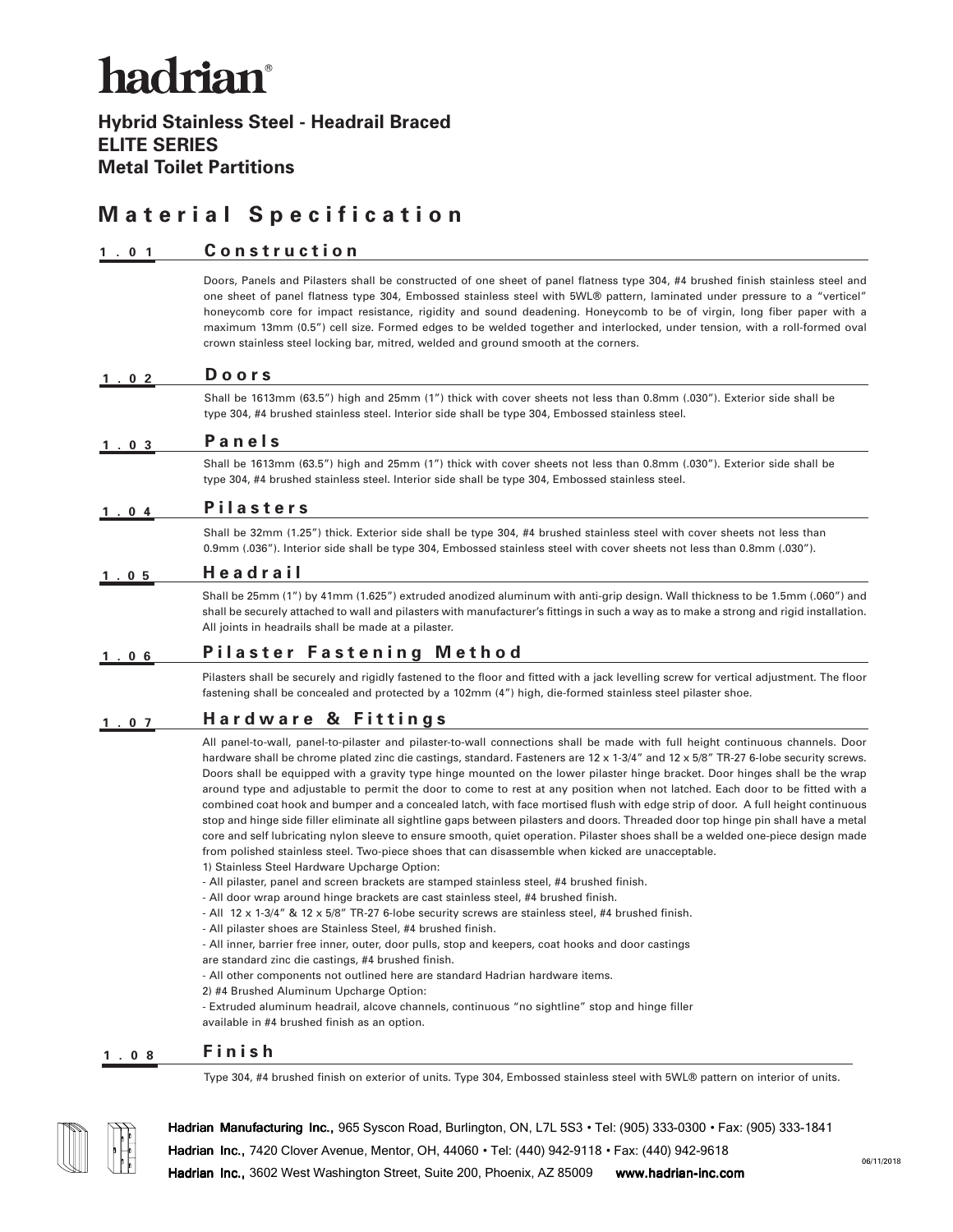# hadrian<sup>®</sup>

**Hybrid Stainless Steel - Headrail Braced ELITE SERIES Metal Toilet Partitions**

## **Material Specification**

#### **1.01 Construction**

Doors, Panels and Pilasters shall be constructed of one sheet of panel flatness type 304, #4 brushed finish stainless steel and one sheet of panel flatness type 304, Embossed stainless steel with 5WL® pattern, laminated under pressure to a "verticel" honeycomb core for impact resistance, rigidity and sound deadening. Honeycomb to be of virgin, long fiber paper with a maximum 13mm (0.5") cell size. Formed edges to be welded together and interlocked, under tension, with a roll-formed oval crown stainless steel locking bar, mitred, welded and ground smooth at the corners.

### Shall be 1613mm (63.5") high and 25mm (1") thick with cover sheets not less than 0.8mm (.030"). Exterior side shall be type 304, #4 brushed stainless steel. Interior side shall be type 304, Embossed stainless steel. **1.02 Doors**

#### **1.03 Panels**

Shall be 1613mm (63.5") high and 25mm (1") thick with cover sheets not less than 0.8mm (.030"). Exterior side shall be type 304, #4 brushed stainless steel. Interior side shall be type 304, Embossed stainless steel.

#### **1.04 Pilasters**

Shall be 32mm (1.25") thick. Exterior side shall be type 304, #4 brushed stainless steel with cover sheets not less than 0.9mm (.036"). Interior side shall be type 304, Embossed stainless steel with cover sheets not less than 0.8mm (.030").

#### **1.05 Headrail**

Shall be 25mm (1") by 41mm (1.625") extruded anodized aluminum with anti-grip design. Wall thickness to be 1.5mm (.060") and shall be securely attached to wall and pilasters with manufacturer's fittings in such a way as to make a strong and rigid installation. All joints in headrails shall be made at a pilaster.

#### **1.06 Pilaster Fastening Method**

Pilasters shall be securely and rigidly fastened to the floor and fitted with a jack levelling screw for vertical adjustment. The floor fastening shall be concealed and protected by a 102mm (4") high, die-formed stainless steel pilaster shoe.

#### **1.07 Hardware & Fittings**

All panel-to-wall, panel-to-pilaster and pilaster-to-wall connections shall be made with full height continuous channels. Door hardware shall be chrome plated zinc die castings, standard. Fasteners are 12 x 1-3/4" and 12 x 5/8" TR-27 6-lobe security screws. Doors shall be equipped with a gravity type hinge mounted on the lower pilaster hinge bracket. Door hinges shall be the wrap around type and adjustable to permit the door to come to rest at any position when not latched. Each door to be fitted with a combined coat hook and bumper and a concealed latch, with face mortised flush with edge strip of door. A full height continuous stop and hinge side filler eliminate all sightline gaps between pilasters and doors. Threaded door top hinge pin shall have a metal core and self lubricating nylon sleeve to ensure smooth, quiet operation. Pilaster shoes shall be a welded one-piece design made from polished stainless steel. Two-piece shoes that can disassemble when kicked are unacceptable.

- 1) Stainless Steel Hardware Upcharge Option:
- All pilaster, panel and screen brackets are stamped stainless steel, #4 brushed finish.
- All door wrap around hinge brackets are cast stainless steel, #4 brushed finish.
- All 12 x 1-3/4" & 12 x 5/8" TR-27 6-lobe security screws are stainless steel, #4 brushed finish.
- All pilaster shoes are Stainless Steel, #4 brushed finish.
- All inner, barrier free inner, outer, door pulls, stop and keepers, coat hooks and door castings
- are standard zinc die castings, #4 brushed finish.
- All other components not outlined here are standard Hadrian hardware items.
- 2) #4 Brushed Aluminum Upcharge Option:

- Extruded aluminum headrail, alcove channels, continuous "no sightline" stop and hinge filler available in #4 brushed finish as an option.

### **1.08 Finish**

Type 304, #4 brushed finish on exterior of units. Type 304, Embossed stainless steel with 5WL® pattern on interior of units.



**Hadrian Manufacturing Inc.,** 965 Syscon Road, Burlington, ON, L7L 5S3 • Tel: (905) 333-0300 • Fax: (905) 333-1841 **Hadrian Inc.,** 7420 Clover Avenue, Mentor, OH, 44060 • Tel: (440) 942-9118 • Fax: (440) 942-9618 **Hadrian Inc.,** 3602 West Washington Street, Suite 200, Phoenix, AZ 85009 **www.hadrian-inc.com**